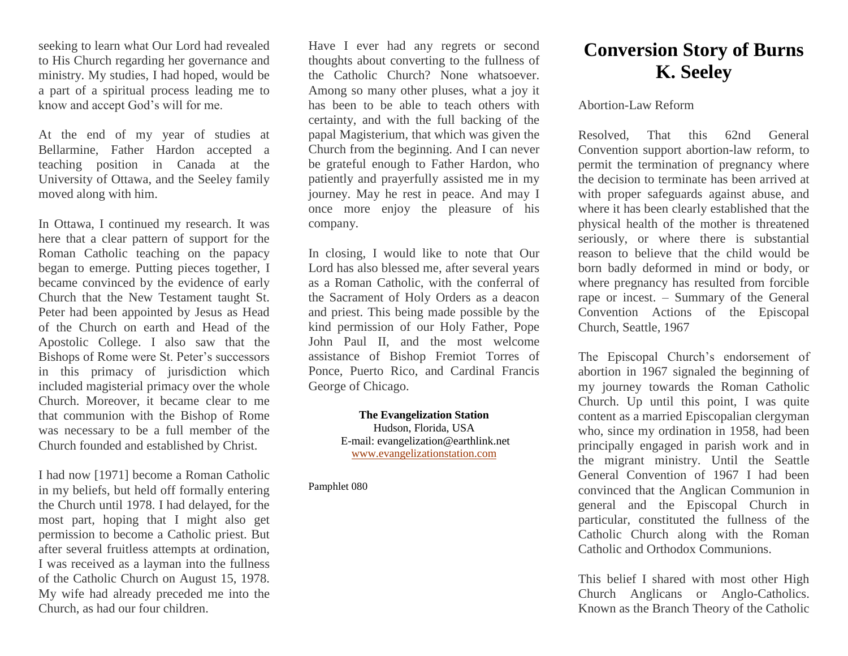seeking to learn what Our Lord had revealed to His Church regarding her governance and ministry. My studies, I had hoped, would be a part of a spiritual process leading me to know and accept God's will for me.

At the end of my year of studies at Bellarmine, Father Hardon accepted a teaching position in Canada at the University of Ottawa, and the Seeley family moved along with him.

In Ottawa, I continued my research. It was here that a clear pattern of support for the Roman Catholic teaching on the papacy began to emerge. Putting pieces together, I became convinced by the evidence of early Church that the New Testament taught St. Peter had been appointed by Jesus as Head of the Church on earth and Head of the Apostolic College. I also saw that the Bishops of Rome were St. Peter's successors in this primacy of jurisdiction which included magisterial primacy over the whole Church. Moreover, it became clear to me that communion with the Bishop of Rome was necessary to be a full member of the Church founded and established by Christ.

I had now [1971] become a Roman Catholic in my beliefs, but held off formally entering the Church until 1978. I had delayed, for the most part, hoping that I might also get permission to become a Catholic priest. But after several fruitless attempts at ordination, I was received as a layman into the fullness of the Catholic Church on August 15, 1978. My wife had already preceded me into the Church, as had our four children.

Have I ever had any regrets or second thoughts about converting to the fullness of the Catholic Church? None whatsoever. Among so many other pluses, what a joy it has been to be able to teach others with certainty, and with the full backing of the papal Magisterium, that which was given the Church from the beginning. And I can never be grateful enough to Father Hardon, who patiently and prayerfully assisted me in my journey. May he rest in peace. And may I once more enjoy the pleasure of his company.

In closing, I would like to note that Our Lord has also blessed me, after several years as a Roman Catholic, with the conferral of the Sacrament of Holy Orders as a deacon and priest. This being made possible by the kind permission of our Holy Father, Pope John Paul II, and the most welcome assistance of Bishop Fremiot Torres of Ponce, Puerto Rico, and Cardinal Francis George of Chicago.

> **The Evangelization Station** Hudson, Florida, USA E-mail: evangelization@earthlink.net [www.evangelizationstation.com](http://www.pjpiisoe.org/)

Pamphlet 080

## **Conversion Story of Burns K. Seeley**

## Abortion-Law Reform

Resolved, That this 62nd General Convention support abortion-law reform, to permit the termination of pregnancy where the decision to terminate has been arrived at with proper safeguards against abuse, and where it has been clearly established that the physical health of the mother is threatened seriously, or where there is substantial reason to believe that the child would be born badly deformed in mind or body, or where pregnancy has resulted from forcible rape or incest. – Summary of the General Convention Actions of the Episcopal Church, Seattle, 1967

The Episcopal Church's endorsement of abortion in 1967 signaled the beginning of my journey towards the Roman Catholic Church. Up until this point, I was quite content as a married Episcopalian clergyman who, since my ordination in 1958, had been principally engaged in parish work and in the migrant ministry. Until the Seattle General Convention of 1967 I had been convinced that the Anglican Communion in general and the Episcopal Church in particular, constituted the fullness of the Catholic Church along with the Roman Catholic and Orthodox Communions.

This belief I shared with most other High Church Anglicans or Anglo-Catholics. Known as the Branch Theory of the Catholic